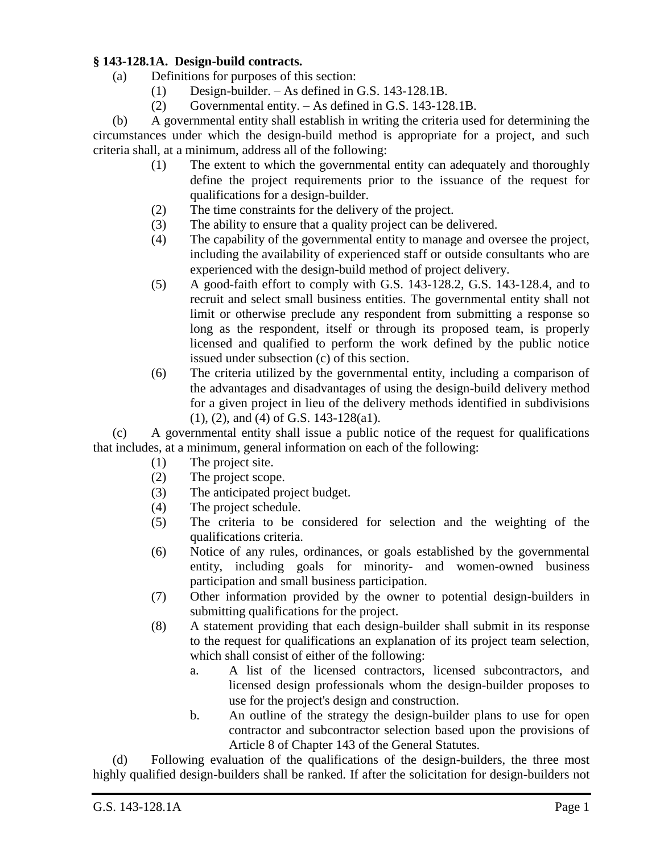## **§ 143-128.1A. Design-build contracts.**

- (a) Definitions for purposes of this section:
	- (1) Design-builder. As defined in G.S. 143-128.1B.
	- (2) Governmental entity. As defined in G.S. 143-128.1B.

(b) A governmental entity shall establish in writing the criteria used for determining the circumstances under which the design-build method is appropriate for a project, and such criteria shall, at a minimum, address all of the following:

- (1) The extent to which the governmental entity can adequately and thoroughly define the project requirements prior to the issuance of the request for qualifications for a design-builder.
- (2) The time constraints for the delivery of the project.
- (3) The ability to ensure that a quality project can be delivered.
- (4) The capability of the governmental entity to manage and oversee the project, including the availability of experienced staff or outside consultants who are experienced with the design-build method of project delivery.
- (5) A good-faith effort to comply with G.S. 143-128.2, G.S. 143-128.4, and to recruit and select small business entities. The governmental entity shall not limit or otherwise preclude any respondent from submitting a response so long as the respondent, itself or through its proposed team, is properly licensed and qualified to perform the work defined by the public notice issued under subsection (c) of this section.
- (6) The criteria utilized by the governmental entity, including a comparison of the advantages and disadvantages of using the design-build delivery method for a given project in lieu of the delivery methods identified in subdivisions (1), (2), and (4) of G.S. 143-128(a1).

(c) A governmental entity shall issue a public notice of the request for qualifications that includes, at a minimum, general information on each of the following:

- (1) The project site.
- (2) The project scope.
- (3) The anticipated project budget.
- (4) The project schedule.
- (5) The criteria to be considered for selection and the weighting of the qualifications criteria.
- (6) Notice of any rules, ordinances, or goals established by the governmental entity, including goals for minority- and women-owned business participation and small business participation.
- (7) Other information provided by the owner to potential design-builders in submitting qualifications for the project.
- (8) A statement providing that each design-builder shall submit in its response to the request for qualifications an explanation of its project team selection, which shall consist of either of the following:
	- a. A list of the licensed contractors, licensed subcontractors, and licensed design professionals whom the design-builder proposes to use for the project's design and construction.
	- b. An outline of the strategy the design-builder plans to use for open contractor and subcontractor selection based upon the provisions of Article 8 of Chapter 143 of the General Statutes.

(d) Following evaluation of the qualifications of the design-builders, the three most highly qualified design-builders shall be ranked. If after the solicitation for design-builders not